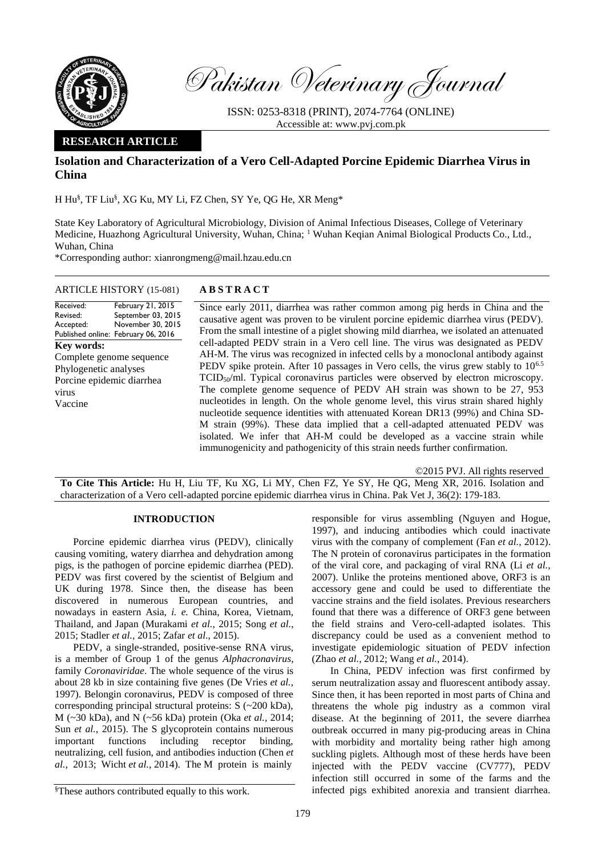

Pakistan Veterinary Journal

ISSN: 0253-8318 (PRINT), 2074-7764 (ONLINE) Accessible at: [www.pvj.com.pk](http://www.pvj.com.pk/)

## **RESEARCH ARTICLE**

# **Isolation and Characterization of a Vero Cell-Adapted Porcine Epidemic Diarrhea Virus in China**

H Hu§ , TF Liu § , XG Ku, MY Li, FZ Chen, SY Ye, QG He, XR Meng\*

State Key Laboratory of Agricultural Microbiology, Division of Animal Infectious Diseases, College of Veterinary Medicine, Huazhong Agricultural University, Wuhan, China; <sup>1</sup> Wuhan Keqian Animal Biological Products Co., Ltd., Wuhan, China

\*Corresponding author: xianrongmeng@mail.hzau.edu.cn

#### ARTICLE HISTORY (15-081) **A B S T R A C T**

Received: Revised: Accepted: Published online: February 06, 2016 February 21, 2015 September 03, 2015 November 30, 2015 **Key words:**  Complete genome sequence Phylogenetic analyses Porcine epidemic diarrhea virus Vaccine

Since early 2011, diarrhea was rather common among pig herds in China and the causative agent was proven to be virulent porcine epidemic diarrhea virus (PEDV). From the small intestine of a piglet showing mild diarrhea, we isolated an attenuated cell-adapted PEDV strain in a Vero cell line. The virus was designated as PEDV AH-M. The virus was recognized in infected cells by a monoclonal antibody against PEDV spike protein. After 10 passages in Vero cells, the virus grew stably to  $10^{6.5}$ TCID<sub>50</sub>/ml. Typical coronavirus particles were observed by electron microscopy. The complete genome sequence of PEDV AH strain was shown to be 27, 953 nucleotides in length. On the whole genome level, this virus strain shared highly nucleotide sequence identities with attenuated Korean DR13 (99%) and China SD-M strain (99%). These data implied that a cell-adapted attenuated PEDV was isolated. We infer that AH-M could be developed as a vaccine strain while immunogenicity and pathogenicity of this strain needs further confirmation.

©2015 PVJ. All rights reserved

**To Cite This Article:** Hu H, Liu TF, Ku XG, Li MY, Chen FZ, Ye SY, He QG, Meng XR, 2016. Isolation and characterization of a Vero cell-adapted porcine epidemic diarrhea virus in China. Pak Vet J, 36(2): 179-183.

## **INTRODUCTION**

Porcine epidemic diarrhea virus (PEDV), clinically causing vomiting, watery diarrhea and dehydration among pigs, is the pathogen of porcine epidemic diarrhea (PED). PEDV was first covered by the scientist of Belgium and UK during 1978. Since then, the disease has been discovered in numerous European countries, and nowadays in eastern Asia, *i. e.* China, Korea, Vietnam, Thailand, and Japan (Murakami *et al.*, 2015; Song *et al.*, 2015; Stadler *et al.*, 2015; Zafar *et al*., 2015).

PEDV, a single-stranded, positive-sense RNA virus, is a member of Group 1 of the genus *Alphacronavirus*, family *Coronaviridae*. The whole sequence of the virus is about 28 kb in size containing five genes (De Vries *et al.*, 1997). Belongin coronavirus, PEDV is composed of three corresponding principal structural proteins: S (~200 kDa), M (~30 kDa), and N (~56 kDa) protein (Oka *et al.*, 2014; Sun *et al.*, 2015). The S glycoprotein contains numerous important functions including receptor binding, neutralizing, cell fusion, and antibodies induction (Chen *et al.*, 2013; Wicht *et al.*, 2014). The M protein is mainly

responsible for virus assembling (Nguyen and Hogue, 1997), and inducing antibodies which could inactivate virus with the company of complement (Fan *et al.*, 2012). The N protein of coronavirus participates in the formation of the viral core, and packaging of viral RNA (Li *et al.*, 2007). Unlike the proteins mentioned above, ORF3 is an accessory gene and could be used to differentiate the vaccine strains and the field isolates. Previous researchers found that there was a difference of ORF3 gene between the field strains and Vero-cell-adapted isolates. This discrepancy could be used as a convenient method to investigate epidemiologic situation of PEDV infection (Zhao *et al.*, 2012; Wang *et al.*, 2014).

In China, PEDV infection was first confirmed by serum neutralization assay and fluorescent antibody assay. Since then, it has been reported in most parts of China and threatens the whole pig industry as a common viral disease. At the beginning of 2011, the severe diarrhea outbreak occurred in many pig-producing areas in China with morbidity and mortality being rather high among suckling piglets. Although most of these herds have been injected with the PEDV vaccine (CV777), PEDV infection still occurred in some of the farms and the infected pigs exhibited anorexia and transient diarrhea.

<sup>§</sup>These authors contributed equally to this work.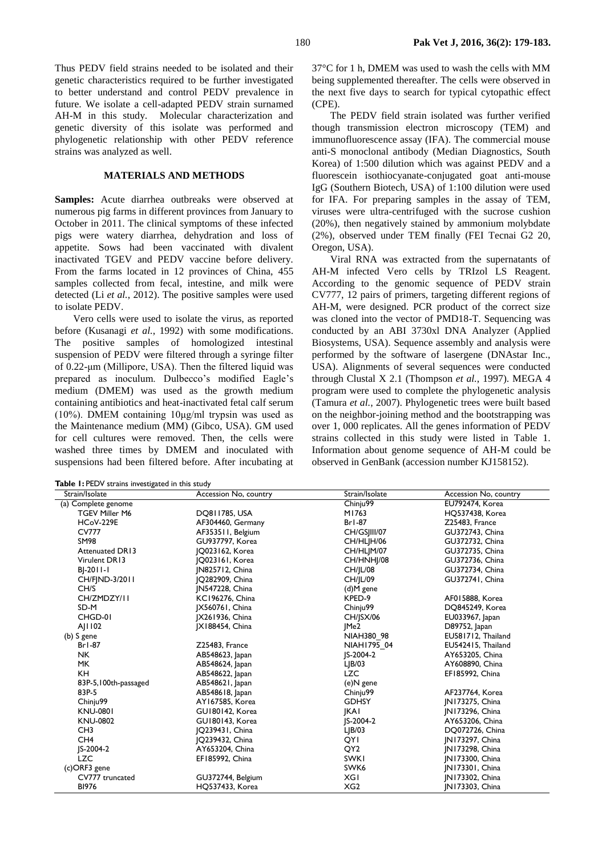Thus PEDV field strains needed to be isolated and their genetic characteristics required to be further investigated to better understand and control PEDV prevalence in future. We isolate a cell-adapted PEDV strain surnamed AH-M in this study. Molecular characterization and genetic diversity of this isolate was performed and phylogenetic relationship with other PEDV reference strains was analyzed as well.

## **MATERIALS AND METHODS**

**Samples:** Acute diarrhea outbreaks were observed at numerous pig farms in different provinces from January to October in 2011. The clinical symptoms of these infected pigs were watery diarrhea, dehydration and loss of appetite. Sows had been vaccinated with divalent inactivated TGEV and PEDV vaccine before delivery. From the farms located in 12 provinces of China, 455 samples collected from fecal, intestine, and milk were detected (Li *et al.*, 2012). The positive samples were used to isolate PEDV.

Vero cells were used to isolate the virus, as reported before (Kusanagi *et al.*, 1992) with some modifications. The positive samples of homologized intestinal suspension of PEDV were filtered through a syringe filter of 0.22-μm (Millipore, USA). Then the filtered liquid was prepared as inoculum. Dulbecco's modified Eagle's medium (DMEM) was used as the growth medium containing antibiotics and heat-inactivated fetal calf serum (10%). DMEM containing 10μg/ml trypsin was used as the Maintenance medium (MM) (Gibco, USA). GM used for cell cultures were removed. Then, the cells were washed three times by DMEM and inoculated with suspensions had been filtered before. After incubating at

**Table 1:** PEDV strains investigated in this study

37°C for 1 h, DMEM was used to wash the cells with MM being supplemented thereafter. The cells were observed in the next five days to search for typical cytopathic effect  $(CPE)$ .

The PEDV field strain isolated was further verified though transmission electron microscopy (TEM) and immunofluorescence assay (IFA). The commercial mouse anti-S monoclonal antibody (Median Diagnostics, South Korea) of 1:500 dilution which was against PEDV and a fluorescein isothiocyanate-conjugated goat anti-mouse IgG (Southern Biotech, USA) of 1:100 dilution were used for IFA. For preparing samples in the assay of TEM, viruses were ultra-centrifuged with the sucrose cushion (20%), then negatively stained by ammonium molybdate (2%), observed under TEM finally (FEI Tecnai G2 20, Oregon, USA).

Viral RNA was extracted from the supernatants of AH-M infected Vero cells by TRIzol LS Reagent. According to the genomic sequence of PEDV strain CV777, 12 pairs of primers, targeting different regions of AH-M, were designed. PCR product of the correct size was cloned into the vector of PMD18-T. Sequencing was conducted by an ABI 3730xl DNA Analyzer (Applied Biosystems, USA). Sequence assembly and analysis were performed by the software of lasergene (DNAstar Inc., USA). Alignments of several sequences were conducted through Clustal X 2.1 (Thompson *et al.*, 1997). MEGA 4 program were used to complete the phylogenetic analysis (Tamura *et al.*, 2007). Phylogenetic trees were built based on the neighbor-joining method and the bootstrapping was over 1, 000 replicates. All the genes information of PEDV strains collected in this study were listed in Table 1. Information about genome sequence of AH-M could be observed in GenBank (accession number KJ158152).

| Strain/Isolate         | Accession No, country  | Strain/Isolate   | Accession No, country  |
|------------------------|------------------------|------------------|------------------------|
| (a) Complete genome    |                        | Chinju99         | EU792474, Korea        |
| <b>TGEV Miller M6</b>  | DQ811785, USA          | M1763            | HQ537438, Korea        |
| <b>HCoV-229E</b>       | AF304460, Germany      | $Br1-87$         | Z25483, France         |
| <b>CV777</b>           | AF353511, Belgium      | CH/GSJIII/07     | GU372743, China        |
| <b>SM98</b>            | GU937797, Korea        | CH/HLIH/06       | GU372732, China        |
| <b>Attenuated DR13</b> | JQ023162, Korea        | CH/HLJM/07       | GU372735, China        |
| Virulent DR13          | 10023161, Korea        | CH/HNHJ/08       | GU372736, China        |
| BJ-2011-1              | <b>IN825712, China</b> | <b>CH/JL/08</b>  | GU372734, China        |
| CH/FIND-3/2011         | IQ282909, China        | <b>CH/JL/09</b>  | GU372741, China        |
| CH/S                   | <b>IN547228, China</b> | (d)M gene        |                        |
| CH/ZMDZY/II            | <b>KC196276, China</b> | KPED-9           | AF015888, Korea        |
| SD-M                   | [X560761, China        | Chinju99         | DQ845249, Korea        |
| CHGD-01                | [X261936, China        | <b>CH/ISX/06</b> | EU033967, Japan        |
| AJ1102                 | [X188454, China        | IMe2             | D89752, Japan          |
| $(b)$ S gene           |                        | NIAH380 98       | EU581712, Thailand     |
| $Br1-87$               | Z25483, France         | NIAH1795 04      | EU542415, Thailand     |
| <b>NK</b>              | AB548623, Japan        | IS-2004-2        | AY653205, China        |
| MK.                    | AB548624, Japan        | $L$ $B/03$       | AY608890, China        |
| <b>KH</b>              | AB548622, Japan        | <b>LZC</b>       | EF185992, China        |
| 83P-5,100th-passaged   | AB548621, Japan        | (e)N gene        |                        |
| 83P-5                  | AB548618, Japan        | Chinju99         | AF237764, Korea        |
| Chinju99               | AY167585, Korea        | <b>GDHSY</b>     | JN173275, China        |
| <b>KNU-0801</b>        | GU180142, Korea        | <b>IKAI</b>      | JN173296, China        |
| <b>KNU-0802</b>        | GU180143, Korea        | IS-2004-2        | AY653206, China        |
| CH <sub>3</sub>        | Q239431, China         | $L$ $B/03$       | DQ072726, China        |
| CH <sub>4</sub>        | JQ239432, China        | QYI              | JN173297, China        |
| IS-2004-2              | AY653204, China        | QY <sub>2</sub>  | <b>IN173298, China</b> |
| <b>LZC</b>             | EF185992, China        | <b>SWK1</b>      | <b>IN173300, China</b> |
| (c)ORF3 gene           |                        | SWK <sub>6</sub> | JN173301, China        |
| CV777 truncated        | GU372744, Belgium      | XGI              | IN173302, China        |
| <b>BI976</b>           | HQ537433, Korea        | XG2              | IN173303, China        |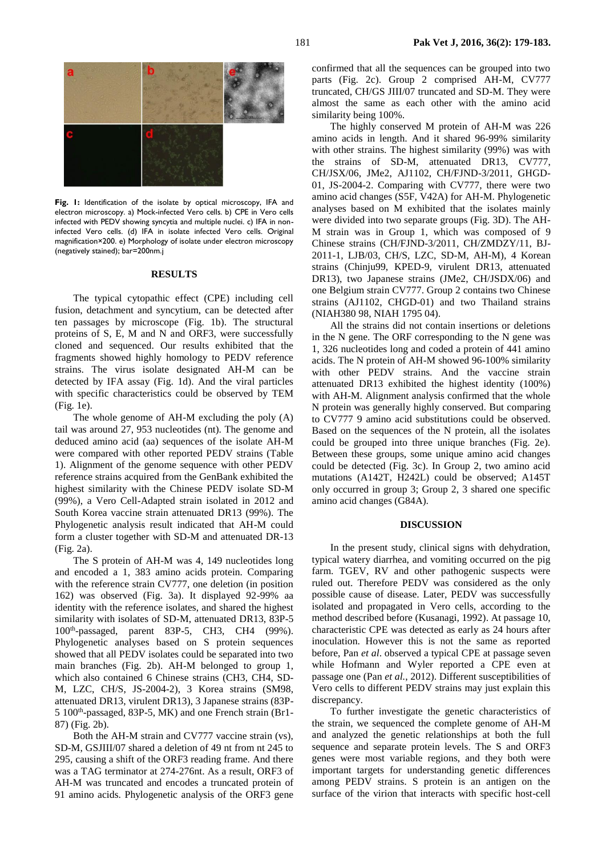Fig. 1: Identification of the isolate by optical microscopy, IFA and electron microscopy. a) Mock-infected Vero cells. b) CPE in Vero cells infected with PEDV showing syncytia and multiple nuclei. c) IFA in noninfected Vero cells. (d) IFA in isolate infected Vero cells. Original magnification×200. e) Morphology of isolate under electron microscopy (negatively stained); bar=200nm.j

#### **RESULTS**

The typical cytopathic effect (CPE) including cell fusion, detachment and syncytium, can be detected after ten passages by microscope (Fig. 1b). The structural proteins of S, E, M and N and ORF3, were successfully cloned and sequenced. Our results exhibited that the fragments showed highly homology to PEDV reference strains. The virus isolate designated AH-M can be detected by IFA assay (Fig. 1d). And the viral particles with specific characteristics could be observed by TEM (Fig. 1e).

The whole genome of AH-M excluding the poly (A) tail was around 27, 953 nucleotides (nt). The genome and deduced amino acid (aa) sequences of the isolate AH-M were compared with other reported PEDV strains (Table 1). Alignment of the genome sequence with other PEDV reference strains acquired from the GenBank exhibited the highest similarity with the Chinese PEDV isolate SD-M (99%), a Vero Cell-Adapted strain isolated in 2012 and South Korea vaccine strain attenuated DR13 (99%). The Phylogenetic analysis result indicated that AH-M could form a cluster together with SD-M and attenuated DR-13 (Fig. 2a).

The S protein of AH-M was 4, 149 nucleotides long and encoded a 1, 383 amino acids protein. Comparing with the reference strain CV777, one deletion (in position 162) was observed (Fig. 3a). It displayed 92-99% aa identity with the reference isolates, and shared the highest similarity with isolates of SD-M, attenuated DR13, 83P-5 100th -passaged, parent 83P-5, CH3, CH4 (99%). Phylogenetic analyses based on S protein sequences showed that all PEDV isolates could be separated into two main branches (Fig. 2b). AH-M belonged to group 1, which also contained 6 Chinese strains (CH3, CH4, SD-M, LZC, CH/S, JS-2004-2), 3 Korea strains (SM98, attenuated DR13, virulent DR13), 3 Japanese strains (83P-5 100<sup>th</sup>-passaged, 83P-5, MK) and one French strain (Br1-87) (Fig. 2b).

Both the AH-M strain and CV777 vaccine strain (vs), SD-M, GSJIII/07 shared a deletion of 49 nt from nt 245 to 295, causing a shift of the ORF3 reading frame. And there was a TAG terminator at 274-276nt. As a result, ORF3 of AH-M was truncated and encodes a truncated protein of 91 amino acids. Phylogenetic analysis of the ORF3 gene

confirmed that all the sequences can be grouped into two parts (Fig. 2c). Group 2 comprised AH-M, CV777 truncated, CH/GS JIII/07 truncated and SD-M. They were almost the same as each other with the amino acid similarity being 100%.

The highly conserved M protein of AH-M was 226 amino acids in length. And it shared 96-99% similarity with other strains. The highest similarity (99%) was with the strains of SD-M, attenuated DR13, CV777, CH/JSX/06, JMe2, AJ1102, CH/FJND-3/2011, GHGD-01, JS-2004-2. Comparing with CV777, there were two amino acid changes (S5F, V42A) for AH-M. Phylogenetic analyses based on M exhibited that the isolates mainly were divided into two separate groups (Fig. 3D). The AH-M strain was in Group 1, which was composed of 9 Chinese strains (CH/FJND-3/2011, CH/ZMDZY/11, BJ-2011-1, LJB/03, CH/S, LZC, SD-M, AH-M), 4 Korean strains (Chinju99, KPED-9, virulent DR13, attenuated DR13), two Japanese strains (JMe2, CH/JSDX/06) and one Belgium strain CV777. Group 2 contains two Chinese strains (AJ1102, CHGD-01) and two Thailand strains (NIAH380 98, NIAH 1795 04).

All the strains did not contain insertions or deletions in the N gene. The ORF corresponding to the N gene was 1, 326 nucleotides long and coded a protein of 441 amino acids. The N protein of AH-M showed 96-100% similarity with other PEDV strains. And the vaccine strain attenuated DR13 exhibited the highest identity (100%) with AH-M. Alignment analysis confirmed that the whole N protein was generally highly conserved. But comparing to CV777 9 amino acid substitutions could be observed. Based on the sequences of the N protein, all the isolates could be grouped into three unique branches (Fig. 2e). Between these groups, some unique amino acid changes could be detected (Fig. 3c). In Group 2, two amino acid mutations (A142T, H242L) could be observed; A145T only occurred in group 3; Group 2, 3 shared one specific amino acid changes (G84A).

#### **DISCUSSION**

In the present study, clinical signs with dehydration, typical watery diarrhea, and vomiting occurred on the pig farm. TGEV, RV and other pathogenic suspects were ruled out. Therefore PEDV was considered as the only possible cause of disease. Later, PEDV was successfully isolated and propagated in Vero cells, according to the method described before (Kusanagi, 1992). At passage 10, characteristic CPE was detected as early as 24 hours after inoculation. However this is not the same as reported before, Pan *et al*. observed a typical CPE at passage seven while Hofmann and Wyler reported a CPE even at passage one (Pan *et al.*, 2012). Different susceptibilities of Vero cells to different PEDV strains may just explain this discrepancy.

To further investigate the genetic characteristics of the strain, we sequenced the complete genome of AH-M and analyzed the genetic relationships at both the full sequence and separate protein levels. The S and ORF3 genes were most variable regions, and they both were important targets for understanding genetic differences among PEDV strains. S protein is an antigen on the surface of the virion that interacts with specific host-cell

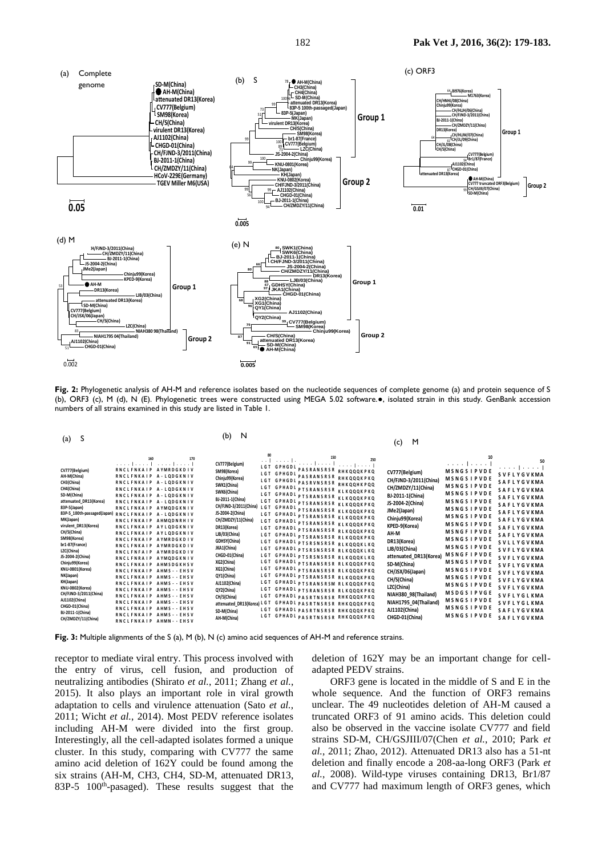

Fig. 2: Phylogenetic analysis of AH-M and reference isolates based on the nucleotide sequences of complete genome (a) and protein sequence of S (b), ORF3 (c), M (d), N (E). Phylogenetic trees were constructed using MEGA 5.02 software.., isolated strain in this study. GenBank accession numbers of all strains examined in this study are listed in Table 1. **KNU-0802(Korea) M R S L I Y F L L F V P V LP T L S L P Q D V H R C S A N T N FR R F F S K F N V Q A P A V V V LG G Y L P IG E N Q G V N S T -WY C A G Q H P T A S G V H G I F L S H I R G G H G F E IG I S Q E P**

| $(a)$ S                                                                                                                                                                                                                                                                                                                                                                                                                                                                                                                                                                                                                                                                                                                                                                                                                                                                                                                                                                                                                                                                                                                                                                                          | $(b)$ N                                                                                                                                                                                                                                                                                                                                                                                                                                                                                                                                                                                                                                                                                                                                                                                                                                                                                                                                                                                                                                                                                                                                                                                                                                                                                                         | (c) M                                                                                                                                                                                                                                                                                                                                                                                                                                                                                                                                                                                                                                                                                                                                                                                                                                                                                                                                                                                                                           |
|--------------------------------------------------------------------------------------------------------------------------------------------------------------------------------------------------------------------------------------------------------------------------------------------------------------------------------------------------------------------------------------------------------------------------------------------------------------------------------------------------------------------------------------------------------------------------------------------------------------------------------------------------------------------------------------------------------------------------------------------------------------------------------------------------------------------------------------------------------------------------------------------------------------------------------------------------------------------------------------------------------------------------------------------------------------------------------------------------------------------------------------------------------------------------------------------------|-----------------------------------------------------------------------------------------------------------------------------------------------------------------------------------------------------------------------------------------------------------------------------------------------------------------------------------------------------------------------------------------------------------------------------------------------------------------------------------------------------------------------------------------------------------------------------------------------------------------------------------------------------------------------------------------------------------------------------------------------------------------------------------------------------------------------------------------------------------------------------------------------------------------------------------------------------------------------------------------------------------------------------------------------------------------------------------------------------------------------------------------------------------------------------------------------------------------------------------------------------------------------------------------------------------------|---------------------------------------------------------------------------------------------------------------------------------------------------------------------------------------------------------------------------------------------------------------------------------------------------------------------------------------------------------------------------------------------------------------------------------------------------------------------------------------------------------------------------------------------------------------------------------------------------------------------------------------------------------------------------------------------------------------------------------------------------------------------------------------------------------------------------------------------------------------------------------------------------------------------------------------------------------------------------------------------------------------------------------|
| <b>The Committee of the Committee of the Committee</b><br>CV777(Belgium)<br>RNCLFNKAIP AYMRDGKDIV<br>RNCLFNKAIP A-LQDGKNIV<br>AH-M(China)<br>CH3(China)<br>RNCLFNKAIP A-LQDGKNIV<br>CH4(China)<br>RNCLFNKAIP A-LQDGKNIV<br>SD-M(China)<br>RNCLFNKAIP A-LQDGKNIV<br>attenuated DR13(Korea)<br>RNCLFNKAIP A-LQDGKNIV<br>83P-5(Japan)<br>RNCLFNKAIP AYMQDGKNIV<br>83P-5_100th-passaged(Japan) RNCLFNKAIP A-LQDGKNIV<br>MK(Japan)<br>RNCLFNKAIP AHMQDNRHIV<br>virulent_DR13(Korea)<br>RNCLFNKAIP AYLODGKNIV<br>CH/S(China)<br>RNCLFNKAIP AYLQDGKNIV<br>SM98(Korea)<br>RNCLFNKAIP AYMRDGKDIV<br>br1-87(France)<br>RNCLFNKAIP AYMRDGKDIV<br>LZC(China)<br>RNCLFNFAIP AYMRDGKDIV<br>JS-2004-2(China)<br>RNCLFNRAIP AYMODGKNIV<br>Chinju99(Korea)<br>RNCLFNKAIP AHMSDGKHSV<br>KNU-0801(Korea)<br>RNCLFNKAIP AHMS - - EHSV<br>NK(Japan)<br>RNCLFNKAIP AHMS - - EHSV<br>KH(Japan)<br>RNCLFNKAIP AHMS - - EHSV<br>KNU-0802(Korea)<br>RNCLFNKAIP AHMS - - EHSV<br>CH/FJND-3/2011(China)<br>RNCLFNKAIP AHMS - - EHSV<br>AJ1102(China)<br>RNCLFNKAIP AHMS - - EHSV<br>CHGD-01(China)<br>RNCLFNKAIP AHMS - - EHSV<br>BJ-2011-1(China)<br>RNCLFNKAIP AHMS - - EHSV<br>CH/ZMDZY/11(China<br>RNCLFNKAIP AHMN--EHSV | التعبير التبر<br>CV777(Belgium)<br><b>Service Development</b><br>LGT GPHGDI PASRANSRSR RHKQQQKPKQ<br>SM98(Koreal<br>LGT GPHGDI PASRANSRSR RHKQQQKPKQ<br>Chinju99(Korea)<br>LGT GPHGDI PASRVNSRSR RHKQQHKPQQ<br>SWK1(China)<br>LGT GPHADI PTSRANSRSR KLKQQQKPKQ<br>SWK6(China)<br>LGT GPHADI PTSRANSRSR <sub>KLKQQQK</sub> PKQ<br>BJ-2011-1(China)<br>LGT GPHADI PTSRANSRSR KLKQQQKPKQ<br>CH/FJND-3/2011(China) LGT GPHADI PTSRANSRSR KLKQQQKPKQ<br>LGT GPHADI PTSRANSRSR KLKQQQKPKQ<br>CH/ZMDZY/11(China)<br>. LGT GPHADI PTSRANSRSR KLKQQQKPKQ<br>DR13(Korea)<br>LGT GPHADI PTSRANSRSR RLKQQQKPKQ<br>LJB/03(China<br>LGT GPHADI <sub>P</sub> TSRANSRSR RLKQQQKPKQ<br>GDHSY(China<br>LGT GPHADI PTSRSNSRSR RLKQQQKLKQ<br>JKA1(China)<br>LGT GPHADI PTSRSNSRSR RLKQQQKLKQ<br>CHGD-01(China)<br>LGT GPHADI PTSRSNSRSR RLKQQQKLKQ<br>XG2(China)<br>LGT GPHADI PTSRANSRSR RLKQQQKPKQ<br>LGT GPHADI PTSRANSRSR RLKQQQKPKQ<br>XG1(China)<br>LGT GPHADI PTSRANSRSR RLKQQQKPKQ<br>QY1(China)<br>AJ1102(China)<br>LGT GPHADI PTSRANSRSM RLKQQQKPKQ<br>LGT GPHADI PTSRANSRSR RLKQQQKPKQ<br>QY2(China)<br>LGT GPHADI PASRTNSRSR RHKQQQKPKQ<br>CH/S(China)<br>attenuated DR13(Korea) LGT GPHADI PASRTNSRSR RHKQQQKPKQ<br>LGT GPHADI PASRTNSRSR RHKQQQKPKQ<br>SD-M(China)<br>LGT GPHADI PASRTNSRSR RHKQQQKPKQ<br>AH-M(China) | .<br>.<br><b>MSNGSIPVDE</b><br>CV777(Belgium)<br>MSNGSIPVDE SVFLYGVKMA<br>CH/FJND-3/2011(China<br><b>SAFLYGVKMA</b><br>MSNGSIPVDE SAFLYGVKMA<br>CH/ZMDZY/11(China)<br>MSNGSIPVDE SAFLYGVKMA<br>BJ-2011-1(China)<br><b>MSNGSIPVDE</b><br>JS-2004-2(China)<br><b>SAFLYGVKMA</b><br><b>MSNGSIPVDE</b><br>JMe2(Japan)<br><b>SAFLYGVKMA</b><br><b>MSNGSIPVDE</b><br>Chinju99(Korea)<br>SAFLYGVKMA<br><b>MSNGSIPVDE</b><br>KPED-9(Korea)<br><b>SAFLYGVKMA</b><br>MSNGFIPVDE SAFLYGVKMA<br>AH-M<br><b>MSNGSIPVDE</b><br>DR13(Korea)<br>SVLLYGVKMA<br><b>MSNGSIPVDE</b><br>LJB/03(China)<br>SVFLYGVKMA<br><b>MSNGFIPVDE</b><br>attenuated_DR13(Korea<br><b>SVFLYGVKMA</b><br>MSNGSIPVDE SVFLYGVKMA<br>SD-M(China)<br>MSNGSIPVDE SVFLYGVKMA<br>CH/JSX/06(Japan)<br>MSNGSIPVDE SVFLYGVKMA<br>CH/S(China)<br>MSNGSIPVDE SVFLYGVKMA<br>LZC(China)<br>MSDGSIPVGE SVFLYGLKMA<br>NIAH380_98(Thailand)<br>, MSNGSIPVDE SVFLYGLKMA<br>NIAH1795_04(Thailand)<br>MSNGSIPVDE SAFLYGVKMA<br>AJ1102(China)<br>MSNGSIPVDE SAFLYGVKMA<br>CHGD-01(China) |

Fig. 3: Multiple alignments of the S (a), M (b), N (c) amino acid sequences of AH-M and reference strains.

eceptor to mediate viral entry. This process involved with deletion of 162Y may be an important change for the entry of virus, cell fusion, and production of adapted PEDV strains.<br>
eutralizing antibodies (Shirato *et al.*, including AH-M were divided into the first group. also be observed in the vaccine isolate CV777 and f amino acid deletion of 162Y could be found among the deletion and finally encode a 208-aa-long ORF3 (Park *ex* six strains (AH-M, CH3, CH4, SD-M, attenuated DR13,  $al.$ , 2008). Wild-type viruses containing DR13, Br1/87 83P receptor to mediate viral entry. This process involved with<br>the entry of virus, cell fusion, and production of<br>neutralizing antibodies (Shirato *et al.*, 2011; Zhang *et al.*,<br>2015). It also plays an important role in vira Interestingly, all the cell-adapted isolates formed a unique<br>cluster. In this study, comparing with CV777 the same<br>quite a still delition of 160 v suite a found among the receptor to mediate viral entry. This process involved with deletion of the entry of virus, cell fusion, and production of adapted PEDV strains. neutralizing antibodies (Shirato et al., 2011; Zhang et al., ORF3 2015). It also plays an important role in viral growth whole sequence adaptation to cells and virulence attenuation (Sato *et al.*, unclear. The 2011; Wicht et al., 2014). Most PEDV reference isolates truncated ORF3 of 91 amino acids. This deletion could Interestingly, all the cell-adapted isolates formed a unique strains SDcluster. In this study, comparing with CV777 the same  $al., 2011; Z$ amino acid deletion of 162Y could be found among the deletion and finally encode a 208-aa-long ORF3 (Park et 83P-5 100<sup>th</sup>-pasaged). These results suggest that the and CV777 **AH-M(China)RNQ SKN R N QSN DRGG M T SR D D LV A A V KDA LK S L GI GEN P D R HK Q Q QKP K QE KSDN SG K N T P K K N K S R A T S K E RDL D I P EWRR I P K G E N SV A A C F GP R G G**

**CV777(Belgium) E G A K T E P T N L G V R K A S E K P II P K F S Q Q L P S V V E IV E P N T P P AS R AN S R SR S R G NG N NR SR SP S NNR G N N QS R G N S Q N R GN N Q GR G AS Q N R G G N N NN NK S**

r to mediate viral entry. This process involved with deletion of 162Y may be an important change for cellnd production of adapted PEDV strains.  $\frac{1}{2}$  $\mathbf{r}$  and  $\mathbf{r}$  and  $\mathbf{r}$  and  $\mathbf{r}$  $\sinh$ .  $\sin s$ 

the divided into the first group. also be observed in the vaceme isolate CV777 and field<br>the cell-adapted isolates formed a unique strains SD-M, CH/GSJIII/07(Chen *et al.*, 2010; Park *et*<br>luster. In this study, comparing zing antibodies (Shirato et al., 2011; Zhang et al., ORF3 gene is located in the middle of S and E in the It also plays an important role in viral growth whole sequence. And the function of ORF3 remains uation (Sato *et al.*, unclear. The 49 nucleotides deletion of AH-M caused a Vicht et al., 2014). Most PEDV reference isolates truncated ORF3 of 91 amino acids. This deletion could ng AH-M were divided into the first group. also be observed in the vaccine isolate CV777 and field In this study, comparing with CV777 the same al., 2011; Zhao, 2012). Attenuated DR13 also has a 51-nt acid deletion of 162Y could be found among the deletion and finally encode a 208-aa-long ORF3 (Park et ins (AH-M, CH3, CH4, SD-M, attenuated DR13, al., 2008). Wild-type viruses containing DR13, Br1/87 100<sup>th</sup>-pasaged). These results suggest that the and CV777 had maximum length of ORF3 genes, which ion to cells and virulence attenuation (Sato *et al.*, unclear. The 49 nucleotides deletion of AH-M caused a  $\frac{1}{2}$ **CHGD-01(China)R LWR R T H SWWSF N P E T D AL L T T S VMGRQV C IP VL G A PT G V T L T LL S G T L L V E G Y K V A T G V Q V S Q LP N F V T V A K A T T T IV Y G R V G R S V N A S S S T GWA F Y V R** 1; Zhang *et al.*,  $ORF3$  gene is located in the middle of S and E in the the first group. also be observed in the vaccine isolate CV777 and field

<u>experimental property of the second control of the second control of the second control of the second control of the second control of the second control of the second control of the second control of the second control o</u>